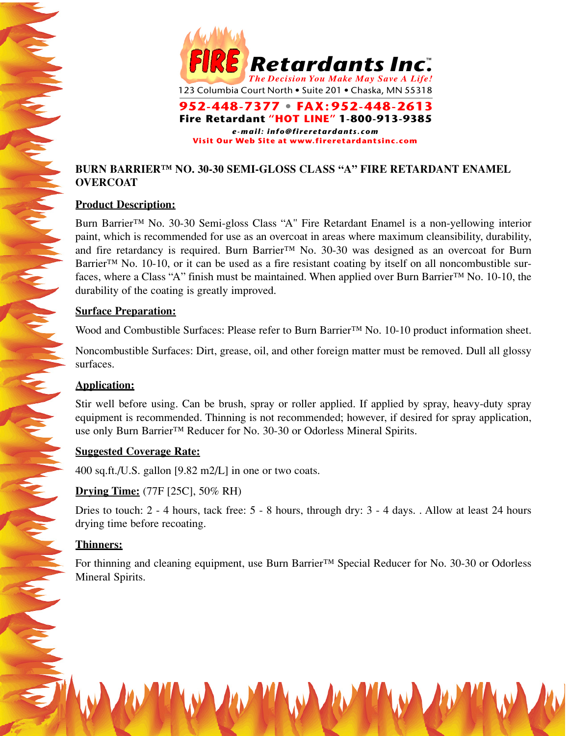

# **BURN BARRIER™ NO. 30-30 SEMI-GLOSS CLASS "A" FIRE RETARDANT ENAMEL OVERCOAT**

## **Product Description:**

Burn Barrier™ No. 30-30 Semi-gloss Class "A" Fire Retardant Enamel is a non-yellowing interior paint, which is recommended for use as an overcoat in areas where maximum cleansibility, durability, and fire retardancy is required. Burn Barrier<sup>™</sup> No. 30-30 was designed as an overcoat for Burn Barrier<sup>™</sup> No. 10-10, or it can be used as a fire resistant coating by itself on all noncombustible surfaces, where a Class "A" finish must be maintained. When applied over Burn Barrier™ No. 10-10, the durability of the coating is greatly improved.

### **Surface Preparation:**

Wood and Combustible Surfaces: Please refer to Burn Barrier™ No. 10-10 product information sheet.

Noncombustible Surfaces: Dirt, grease, oil, and other foreign matter must be removed. Dull all glossy surfaces.

## **Application:**

Stir well before using. Can be brush, spray or roller applied. If applied by spray, heavy-duty spray equipment is recommended. Thinning is not recommended; however, if desired for spray application, use only Burn Barrier™ Reducer for No. 30-30 or Odorless Mineral Spirits.

### **Suggested Coverage Rate:**

400 sq.ft./U.S. gallon [9.82 m2/L] in one or two coats.

## **Drying Time:** (77F [25C], 50% RH)

Dries to touch: 2 - 4 hours, tack free: 5 - 8 hours, through dry: 3 - 4 days. . Allow at least 24 hours drying time before recoating.

## **Thinners:**

For thinning and cleaning equipment, use Burn Barrier™ Special Reducer for No. 30-30 or Odorless Mineral Spirits.